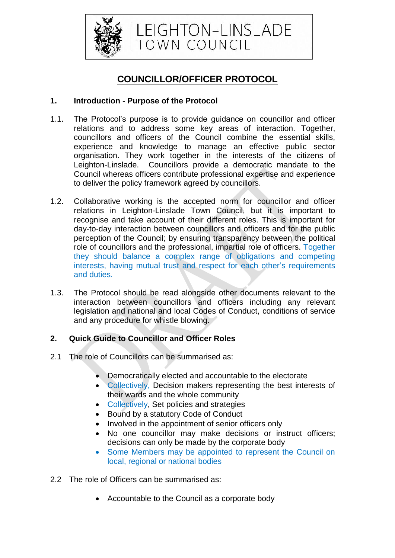

# **COUNCILLOR/OFFICER PROTOCOL**

## **1. Introduction - Purpose of the Protocol**

- 1.1. The Protocol's purpose is to provide guidance on councillor and officer relations and to address some key areas of interaction. Together, councillors and officers of the Council combine the essential skills, experience and knowledge to manage an effective public sector organisation. They work together in the interests of the citizens of Leighton-Linslade. Councillors provide a democratic mandate to the Council whereas officers contribute professional expertise and experience to deliver the policy framework agreed by councillors.
- 1.2. Collaborative working is the accepted norm for councillor and officer relations in Leighton-Linslade Town Council, but it is important to recognise and take account of their different roles. This is important for day-to-day interaction between councillors and officers and for the public perception of the Council; by ensuring transparency between the political role of councillors and the professional, impartial role of officers. Together they should balance a complex range of obligations and competing interests, having mutual trust and respect for each other's requirements and duties.
- 1.3. The Protocol should be read alongside other documents relevant to the interaction between councillors and officers including any relevant legislation and national and local Codes of Conduct, conditions of service and any procedure for whistle blowing.

## **2. Quick Guide to Councillor and Officer Roles**

- 2.1 The role of Councillors can be summarised as:
	- Democratically elected and accountable to the electorate
	- Collectively, Decision makers representing the best interests of their wards and the whole community
	- Collectively, Set policies and strategies
	- Bound by a statutory Code of Conduct
	- Involved in the appointment of senior officers only
	- No one councillor may make decisions or instruct officers; decisions can only be made by the corporate body
	- Some Members may be appointed to represent the Council on local, regional or national bodies
- 2.2 The role of Officers can be summarised as:
	- Accountable to the Council as a corporate body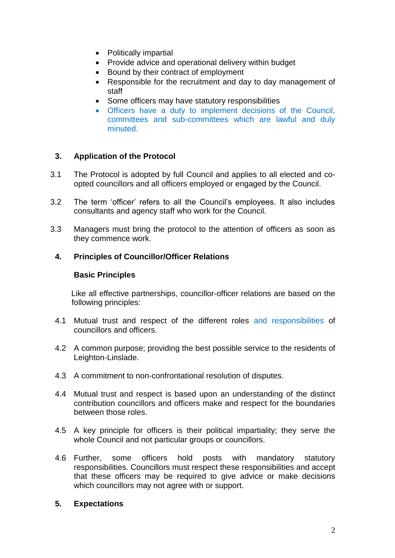- Politically impartial
- Provide advice and operational delivery within budget
- Bound by their contract of employment
- Responsible for the recruitment and day to day management of staff
- Some officers may have statutory responsibilities
- Officers have a duty to implement decisions of the Council, committees and sub-committees which are lawful and duly minuted.

## **3. Application of the Protocol**

- 3.1 The Protocol is adopted by full Council and applies to all elected and coopted councillors and all officers employed or engaged by the Council.
- 3.2 The term 'officer' refers to all the Council's employees. It also includes consultants and agency staff who work for the Council.
- 3.3 Managers must bring the protocol to the attention of officers as soon as they commence work.

#### **4. Principles of Councillor/Officer Relations**

#### **Basic Principles**

Like all effective partnerships, councillor-officer relations are based on the following principles:

- 4.1 Mutual trust and respect of the different roles and responsibilities of councillors and officers.
- 4.2 A common purpose; providing the best possible service to the residents of Leighton-Linslade.
- 4.3 A commitment to non-confrontational resolution of disputes.
- 4.4 Mutual trust and respect is based upon an understanding of the distinct contribution councillors and officers make and respect for the boundaries between those roles.
- 4.5 A key principle for officers is their political impartiality; they serve the whole Council and not particular groups or councillors.
- 4.6 Further, some officers hold posts with mandatory statutory responsibilities. Councillors must respect these responsibilities and accept that these officers may be required to give advice or make decisions which councillors may not agree with or support.

#### **5. Expectations**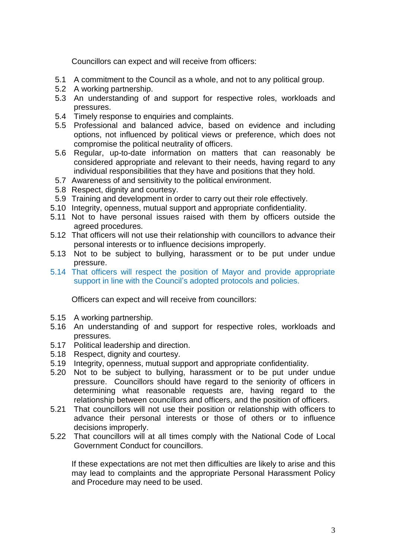Councillors can expect and will receive from officers:

- 5.1 A commitment to the Council as a whole, and not to any political group.
- 5.2 A working partnership.
- 5.3 An understanding of and support for respective roles, workloads and pressures.
- 5.4 Timely response to enquiries and complaints.
- 5.5 Professional and balanced advice, based on evidence and including options, not influenced by political views or preference, which does not compromise the political neutrality of officers.
- 5.6 Regular, up-to-date information on matters that can reasonably be considered appropriate and relevant to their needs, having regard to any individual responsibilities that they have and positions that they hold.
- 5.7 Awareness of and sensitivity to the political environment.
- 5.8 Respect, dignity and courtesy.
- 5.9 Training and development in order to carry out their role effectively.
- 5.10 Integrity, openness, mutual support and appropriate confidentiality.
- 5.11 Not to have personal issues raised with them by officers outside the agreed procedures.
- 5.12 That officers will not use their relationship with councillors to advance their personal interests or to influence decisions improperly.
- 5.13 Not to be subject to bullying, harassment or to be put under undue pressure.
- 5.14 That officers will respect the position of Mayor and provide appropriate support in line with the Council's adopted protocols and policies.

Officers can expect and will receive from councillors:

- 5.15 A working partnership.
- 5.16 An understanding of and support for respective roles, workloads and pressures.
- 5.17 Political leadership and direction.
- 5.18 Respect, dignity and courtesy.
- 5.19 Integrity, openness, mutual support and appropriate confidentiality.
- 5.20 Not to be subject to bullying, harassment or to be put under undue pressure. Councillors should have regard to the seniority of officers in determining what reasonable requests are, having regard to the relationship between councillors and officers, and the position of officers.
- 5.21 That councillors will not use their position or relationship with officers to advance their personal interests or those of others or to influence decisions improperly.
- 5.22 That councillors will at all times comply with the National Code of Local Government Conduct for councillors.

If these expectations are not met then difficulties are likely to arise and this may lead to complaints and the appropriate Personal Harassment Policy and Procedure may need to be used.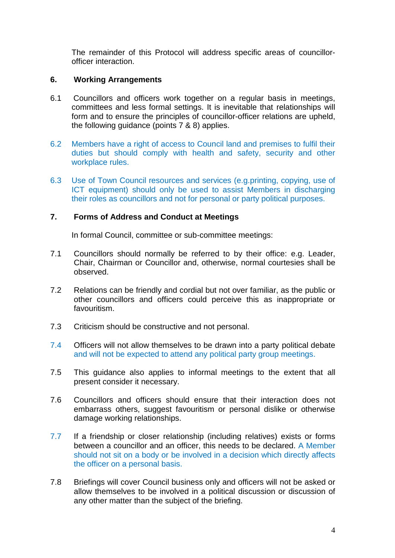The remainder of this Protocol will address specific areas of councillorofficer interaction.

## **6. Working Arrangements**

- 6.1 Councillors and officers work together on a regular basis in meetings, committees and less formal settings. It is inevitable that relationships will form and to ensure the principles of councillor-officer relations are upheld, the following guidance (points 7 & 8) applies.
- 6.2 Members have a right of access to Council land and premises to fulfil their duties but should comply with health and safety, security and other workplace rules.
- 6.3 Use of Town Council resources and services (e.g.printing, copying, use of ICT equipment) should only be used to assist Members in discharging their roles as councillors and not for personal or party political purposes.

## **7. Forms of Address and Conduct at Meetings**

In formal Council, committee or sub-committee meetings:

- 7.1 Councillors should normally be referred to by their office: e.g. Leader, Chair, Chairman or Councillor and, otherwise, normal courtesies shall be observed.
- 7.2 Relations can be friendly and cordial but not over familiar, as the public or other councillors and officers could perceive this as inappropriate or favouritism.
- 7.3 Criticism should be constructive and not personal.
- 7.4 Officers will not allow themselves to be drawn into a party political debate and will not be expected to attend any political party group meetings.
- 7.5 This guidance also applies to informal meetings to the extent that all present consider it necessary.
- 7.6 Councillors and officers should ensure that their interaction does not embarrass others, suggest favouritism or personal dislike or otherwise damage working relationships.
- 7.7 If a friendship or closer relationship (including relatives) exists or forms between a councillor and an officer, this needs to be declared. A Member should not sit on a body or be involved in a decision which directly affects the officer on a personal basis.
- 7.8 Briefings will cover Council business only and officers will not be asked or allow themselves to be involved in a political discussion or discussion of any other matter than the subject of the briefing.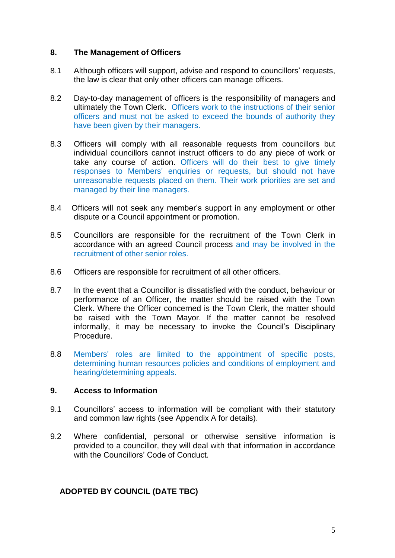#### **8. The Management of Officers**

- 8.1 Although officers will support, advise and respond to councillors' requests, the law is clear that only other officers can manage officers.
- 8.2 Day-to-day management of officers is the responsibility of managers and ultimately the Town Clerk. Officers work to the instructions of their senior officers and must not be asked to exceed the bounds of authority they have been given by their managers.
- 8.3 Officers will comply with all reasonable requests from councillors but individual councillors cannot instruct officers to do any piece of work or take any course of action. Officers will do their best to give timely responses to Members' enquiries or requests, but should not have unreasonable requests placed on them. Their work priorities are set and managed by their line managers.
- 8.4 Officers will not seek any member's support in any employment or other dispute or a Council appointment or promotion.
- 8.5 Councillors are responsible for the recruitment of the Town Clerk in accordance with an agreed Council process and may be involved in the recruitment of other senior roles.
- 8.6 Officers are responsible for recruitment of all other officers.
- 8.7 In the event that a Councillor is dissatisfied with the conduct, behaviour or performance of an Officer, the matter should be raised with the Town Clerk. Where the Officer concerned is the Town Clerk, the matter should be raised with the Town Mayor. If the matter cannot be resolved informally, it may be necessary to invoke the Council's Disciplinary Procedure.
- 8.8 Members' roles are limited to the appointment of specific posts, determining human resources policies and conditions of employment and hearing/determining appeals.

## **9. Access to Information**

- 9.1 Councillors' access to information will be compliant with their statutory and common law rights (see Appendix A for details).
- 9.2 Where confidential, personal or otherwise sensitive information is provided to a councillor, they will deal with that information in accordance with the Councillors' Code of Conduct.

## **ADOPTED BY COUNCIL (DATE TBC)**